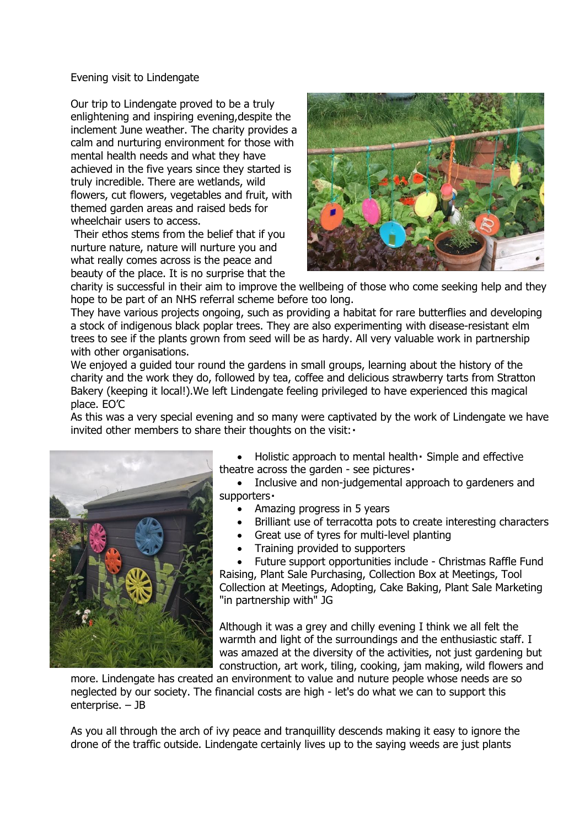Evening visit to Lindengate

Our trip to Lindengate proved to be a truly enlightening and inspiring evening,despite the inclement June weather. The charity provides a calm and nurturing environment for those with mental health needs and what they have achieved in the five years since they started is truly incredible. There are wetlands, wild flowers, cut flowers, vegetables and fruit, with themed garden areas and raised beds for wheelchair users to access.

Their ethos stems from the belief that if you nurture nature, nature will nurture you and what really comes across is the peace and beauty of the place. It is no surprise that the



charity is successful in their aim to improve the wellbeing of those who come seeking help and they hope to be part of an NHS referral scheme before too long.

They have various projects ongoing, such as providing a habitat for rare butterflies and developing a stock of indigenous black poplar trees. They are also experimenting with disease-resistant elm trees to see if the plants grown from seed will be as hardy. All very valuable work in partnership with other organisations.

We enjoyed a guided tour round the gardens in small groups, learning about the history of the charity and the work they do, followed by tea, coffee and delicious strawberry tarts from Stratton Bakery (keeping it local!).We left Lindengate feeling privileged to have experienced this magical place. EO'C

As this was a very special evening and so many were captivated by the work of Lindengate we have invited other members to share their thoughts on the visit:  $\cdot$ 



Holistic approach to mental health Simple and effective theatre across the garden - see pictures

 Inclusive and non-judgemental approach to gardeners and supporters

- Amazing progress in 5 years
- Brilliant use of terracotta pots to create interesting characters
- Great use of tyres for multi-level planting
- Training provided to supporters

 Future support opportunities include - Christmas Raffle Fund Raising, Plant Sale Purchasing, Collection Box at Meetings, Tool Collection at Meetings, Adopting, Cake Baking, Plant Sale Marketing "in partnership with" JG

Although it was a grey and chilly evening I think we all felt the warmth and light of the surroundings and the enthusiastic staff. I was amazed at the diversity of the activities, not just gardening but construction, art work, tiling, cooking, jam making, wild flowers and

more. Lindengate has created an environment to value and nuture people whose needs are so neglected by our society. The financial costs are high - let's do what we can to support this enterprise. – JB

As you all through the arch of ivy peace and tranquillity descends making it easy to ignore the drone of the traffic outside. Lindengate certainly lives up to the saying weeds are just plants